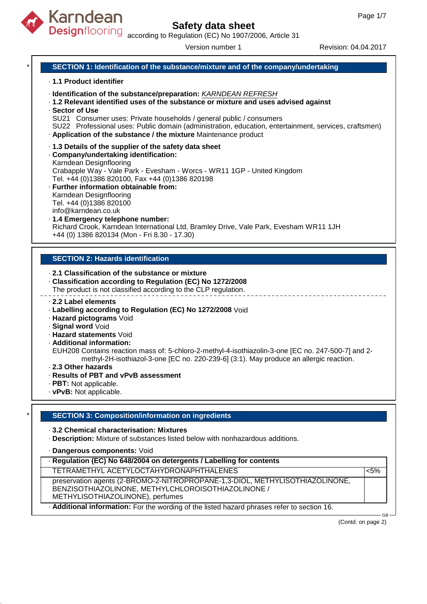

Designflooring according to Regulation (EC) No 1907/2006, Article 31

Version number 1 Revision: 04.04.2017

### **SECTION 1: Identification of the substance/mixture and of the company/undertaking**

#### · **1.1 Product identifier**

- · **Identification of the substance/preparation:** KARNDEAN REFRESH
- · **1.2 Relevant identified uses of the substance or mixture and uses advised against**
- · **Sector of Use**
- SU21 Consumer uses: Private households / general public / consumers
- SU22 Professional uses: Public domain (administration, education, entertainment, services, craftsmen) · **Application of the substance / the mixture** Maintenance product
- · **1.3 Details of the supplier of the safety data sheet**
- · **Company/undertaking identification:** Karndean Designflooring Crabapple Way - Vale Park - Evesham - Worcs - WR11 1GP - United Kingdom Tel. +44 (0)1386 820100, Fax +44 (0)1386 820198
- · **Further information obtainable from:** Karndean Designflooring Tel. +44 (0)1386 820100 info@karndean.co.uk
- · **1.4 Emergency telephone number:** Richard Crook, Karndean International Ltd, Bramley Drive, Vale Park, Evesham WR11 1JH +44 (0) 1386 820134 (Mon - Fri 8.30 - 17.30)

#### **SECTION 2: Hazards identification**

- · **2.1 Classification of the substance or mixture**
- · **Classification according to Regulation (EC) No 1272/2008**
- The product is not classified according to the CLP regulation.
- · **2.2 Label elements**
- · **Labelling according to Regulation (EC) No 1272/2008** Void
- · **Hazard pictograms** Void
- · **Signal word** Void
- · **Hazard statements** Void
- · **Additional information:**
- EUH208 Contains reaction mass of: 5-chloro-2-methyl-4-isothiazolin-3-one [EC no. 247-500-7] and 2 methyl-2H-isothiazol-3-one [EC no. 220-239-6] (3:1). May produce an allergic reaction.
- · **2.3 Other hazards**
- · **Results of PBT and vPvB assessment**
- · **PBT:** Not applicable.
- · **vPvB:** Not applicable.

#### \* **SECTION 3: Composition/information on ingredients**

- · **3.2 Chemical characterisation: Mixtures**
- · **Description:** Mixture of substances listed below with nonhazardous additions.
- · **Dangerous components:** Void

| · Regulation (EC) No 648/2004 on detergents / Labelling for contents                                                                                                   |         |  |
|------------------------------------------------------------------------------------------------------------------------------------------------------------------------|---------|--|
| TETRAMETHYL ACETYLOCTAHYDRONAPHTHALENES                                                                                                                                | $< 5\%$ |  |
| preservation agents (2-BROMO-2-NITROPROPANE-1,3-DIOL, METHYLISOTHIAZOLINONE,<br>BENZISOTHIAZOLINONE, METHYLCHLOROISOTHIAZOLINONE /<br>METHYLISOTHIAZOLINONE), perfumes |         |  |
| . Additional information: For the wording of the listed hazard phrases refer to section 16.                                                                            | $GB -$  |  |

(Contd. on page 2)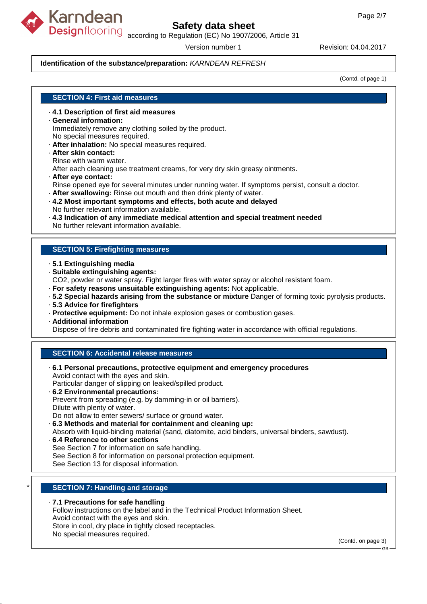

Designflooring according to Regulation (EC) No 1907/2006, Article 31

Version number 1 Revision: 04.04.2017

#### **Identification of the substance/preparation:** KARNDEAN REFRESH

(Contd. of page 1)

#### **SECTION 4: First aid measures**

- · **4.1 Description of first aid measures**
- · **General information:**

Immediately remove any clothing soiled by the product. No special measures required.

- · **After inhalation:** No special measures required.
- · **After skin contact:** Rinse with warm water. After each cleaning use treatment creams, for very dry skin greasy ointments. · **After eye contact:**
- Rinse opened eye for several minutes under running water. If symptoms persist, consult a doctor.
- · **After swallowing:** Rinse out mouth and then drink plenty of water.
- · **4.2 Most important symptoms and effects, both acute and delayed** No further relevant information available.
- · **4.3 Indication of any immediate medical attention and special treatment needed** No further relevant information available.

#### **SECTION 5: Firefighting measures**

- · **5.1 Extinguishing media**
- · **Suitable extinguishing agents:**

CO2, powder or water spray. Fight larger fires with water spray or alcohol resistant foam.

- · **For safety reasons unsuitable extinguishing agents:** Not applicable.
- · **5.2 Special hazards arising from the substance or mixture** Danger of forming toxic pyrolysis products.
- · **5.3 Advice for firefighters**
- · **Protective equipment:** Do not inhale explosion gases or combustion gases.
- · **Additional information**

Dispose of fire debris and contaminated fire fighting water in accordance with official regulations.

#### **SECTION 6: Accidental release measures**

- · **6.1 Personal precautions, protective equipment and emergency procedures** Avoid contact with the eyes and skin. Particular danger of slipping on leaked/spilled product. · **6.2 Environmental precautions:** Prevent from spreading (e.g. by damming-in or oil barriers). Dilute with plenty of water. Do not allow to enter sewers/ surface or ground water. · **6.3 Methods and material for containment and cleaning up:** Absorb with liquid-binding material (sand, diatomite, acid binders, universal binders, sawdust). · **6.4 Reference to other sections**
- See Section 7 for information on safe handling. See Section 8 for information on personal protection equipment. See Section 13 for disposal information.

#### **SECTION 7: Handling and storage**

#### · **7.1 Precautions for safe handling**

Follow instructions on the label and in the Technical Product Information Sheet. Avoid contact with the eyes and skin.

Store in cool, dry place in tightly closed receptacles.

No special measures required.

(Contd. on page 3)

GB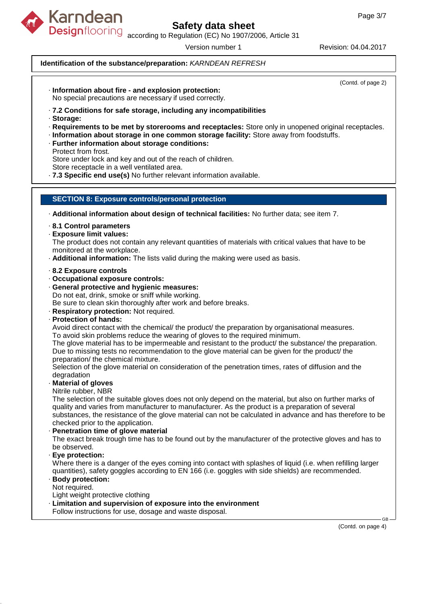

Designflooring according to Regulation (EC) No 1907/2006, Article 31

Version number 1 Revision: 04.04.2017

#### **Identification of the substance/preparation:** KARNDEAN REFRESH

(Contd. of page 2)

- · **Information about fire and explosion protection:** No special precautions are necessary if used correctly.
- · **7.2 Conditions for safe storage, including any incompatibilities**
- · **Storage:**
- · **Requirements to be met by storerooms and receptacles:** Store only in unopened original receptacles.
- · **Information about storage in one common storage facility:** Store away from foodstuffs.
- · **Further information about storage conditions:**
- Protect from frost.

Store under lock and key and out of the reach of children.

Store receptacle in a well ventilated area.

· **7.3 Specific end use(s)** No further relevant information available.

#### **SECTION 8: Exposure controls/personal protection**

- · **Additional information about design of technical facilities:** No further data; see item 7.
- · **8.1 Control parameters**
- · **Exposure limit values:**

The product does not contain any relevant quantities of materials with critical values that have to be monitored at the workplace.

- · **Additional information:** The lists valid during the making were used as basis.
- · **8.2 Exposure controls**
- · **Occupational exposure controls:**
- · **General protective and hygienic measures:** Do not eat, drink, smoke or sniff while working.
- Be sure to clean skin thoroughly after work and before breaks.
- · **Respiratory protection:** Not required.
- · **Protection of hands:**

Avoid direct contact with the chemical/ the product/ the preparation by organisational measures.

To avoid skin problems reduce the wearing of gloves to the required minimum.

The glove material has to be impermeable and resistant to the product/ the substance/ the preparation. Due to missing tests no recommendation to the glove material can be given for the product/ the preparation/ the chemical mixture.

Selection of the glove material on consideration of the penetration times, rates of diffusion and the degradation

· **Material of gloves**

Nitrile rubber, NBR

The selection of the suitable gloves does not only depend on the material, but also on further marks of quality and varies from manufacturer to manufacturer. As the product is a preparation of several substances, the resistance of the glove material can not be calculated in advance and has therefore to be checked prior to the application.

· **Penetration time of glove material**

The exact break trough time has to be found out by the manufacturer of the protective gloves and has to be observed.

· **Eye protection:**

Where there is a danger of the eyes coming into contact with splashes of liquid (i.e. when refilling larger quantities), safety goggles according to EN 166 (i.e. goggles with side shields) are recommended.

### · **Body protection:**

Not required.

Light weight protective clothing

- · **Limitation and supervision of exposure into the environment**
- Follow instructions for use, dosage and waste disposal.

(Contd. on page 4)

GB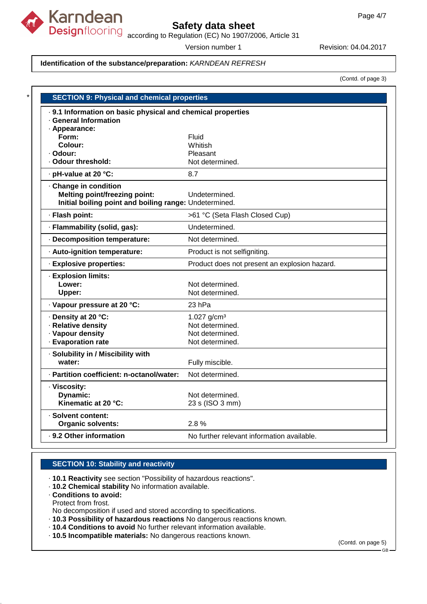

according to Regulation (EC) No 1907/2006, Article 31

Version number 1 Revision: 04.04.2017

#### **Identification of the substance/preparation:** KARNDEAN REFRESH

(Contd. of page 3)

| · 9.1 Information on basic physical and chemical properties |                                               |  |  |
|-------------------------------------------------------------|-----------------------------------------------|--|--|
| · General Information                                       |                                               |  |  |
| · Appearance:                                               |                                               |  |  |
| Form:                                                       | Fluid                                         |  |  |
| Colour:                                                     | Whitish                                       |  |  |
| · Odour:                                                    | Pleasant                                      |  |  |
| · Odour threshold:                                          | Not determined.                               |  |  |
| · pH-value at 20 °C:                                        | 8.7                                           |  |  |
| · Change in condition                                       |                                               |  |  |
| <b>Melting point/freezing point:</b>                        | Undetermined.                                 |  |  |
| Initial boiling point and boiling range: Undetermined.      |                                               |  |  |
| · Flash point:                                              | >61 °C (Seta Flash Closed Cup)                |  |  |
| · Flammability (solid, gas):                                | Undetermined.                                 |  |  |
| Decomposition temperature:                                  | Not determined.                               |  |  |
| · Auto-ignition temperature:                                | Product is not selfigniting.                  |  |  |
| · Explosive properties:                                     | Product does not present an explosion hazard. |  |  |
| · Explosion limits:                                         |                                               |  |  |
| Lower:                                                      | Not determined.                               |  |  |
| Upper:                                                      | Not determined.                               |  |  |
| · Vapour pressure at 20 °C:                                 | 23 <sub>hPa</sub>                             |  |  |
| · Density at 20 °C:                                         | 1.027 $g/cm^{3}$                              |  |  |
| · Relative density                                          | Not determined.                               |  |  |
| · Vapour density                                            | Not determined.                               |  |  |
| · Evaporation rate                                          | Not determined.                               |  |  |
| · Solubility in / Miscibility with                          |                                               |  |  |
| water:                                                      | Fully miscible.                               |  |  |
| · Partition coefficient: n-octanol/water:                   | Not determined.                               |  |  |
| · Viscosity:                                                |                                               |  |  |
| Dynamic:                                                    | Not determined.                               |  |  |
| Kinematic at 20 °C:                                         | 23 s (ISO 3 mm)                               |  |  |
| · Solvent content:                                          |                                               |  |  |
| <b>Organic solvents:</b>                                    | 2.8%                                          |  |  |

#### **SECTION 10: Stability and reactivity**

· **10.1 Reactivity** see section "Possibility of hazardous reactions".

· **10.2 Chemical stability** No information available.

· **Conditions to avoid:** Protect from frost. No decomposition if used and stored according to specifications.

- · **10.3 Possibility of hazardous reactions** No dangerous reactions known.
- · **10.4 Conditions to avoid** No further relevant information available.
- · **10.5 Incompatible materials:** No dangerous reactions known.

(Contd. on page 5)

GB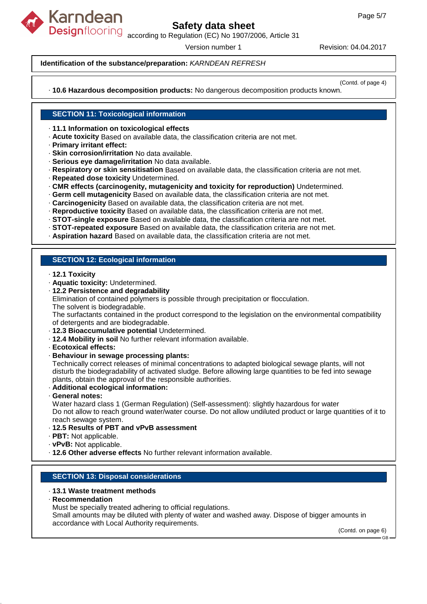

Designflooring according to Regulation (EC) No 1907/2006, Article 31

Version number 1 Revision: 04.04.2017

#### **Identification of the substance/preparation:** KARNDEAN REFRESH

(Contd. of page 4)

· **10.6 Hazardous decomposition products:** No dangerous decomposition products known.

#### **SECTION 11: Toxicological information**

- · **11.1 Information on toxicological effects**
- · **Acute toxicity** Based on available data, the classification criteria are not met.
- · **Primary irritant effect:**
- · **Skin corrosion/irritation** No data available.
- · **Serious eye damage/irritation** No data available.
- · **Respiratory or skin sensitisation** Based on available data, the classification criteria are not met.
- · **Repeated dose toxicity** Undetermined.
- · **CMR effects (carcinogenity, mutagenicity and toxicity for reproduction)** Undetermined.
- · **Germ cell mutagenicity** Based on available data, the classification criteria are not met.
- · **Carcinogenicity** Based on available data, the classification criteria are not met.
- · **Reproductive toxicity** Based on available data, the classification criteria are not met.
- · **STOT-single exposure** Based on available data, the classification criteria are not met.
- · **STOT-repeated exposure** Based on available data, the classification criteria are not met.
- · **Aspiration hazard** Based on available data, the classification criteria are not met.

#### **SECTION 12: Ecological information**

- · **12.1 Toxicity**
- · **Aquatic toxicity:** Undetermined.
- · **12.2 Persistence and degradability**

Elimination of contained polymers is possible through precipitation or flocculation. The solvent is biodegradable.

The surfactants contained in the product correspond to the legislation on the environmental compatibility of detergents and are biodegradable.

- · **12.3 Bioaccumulative potential** Undetermined.
- · **12.4 Mobility in soil** No further relevant information available.
- · **Ecotoxical effects:**
- · **Behaviour in sewage processing plants:**

Technically correct releases of minimal concentrations to adapted biological sewage plants, will not disturb the biodegradability of activated sludge. Before allowing large quantities to be fed into sewage plants, obtain the approval of the responsible authorities.

- · **Additional ecological information:**
- · **General notes:**

Water hazard class 1 (German Regulation) (Self-assessment): slightly hazardous for water Do not allow to reach ground water/water course. Do not allow undiluted product or large quantities of it to reach sewage system.

- · **12.5 Results of PBT and vPvB assessment**
- · **PBT:** Not applicable.
- · **vPvB:** Not applicable.
- · **12.6 Other adverse effects** No further relevant information available.

#### **SECTION 13: Disposal considerations**

#### · **13.1 Waste treatment methods**

· **Recommendation**

Must be specially treated adhering to official regulations.

Small amounts may be diluted with plenty of water and washed away. Dispose of bigger amounts in accordance with Local Authority requirements.

(Contd. on page 6) GB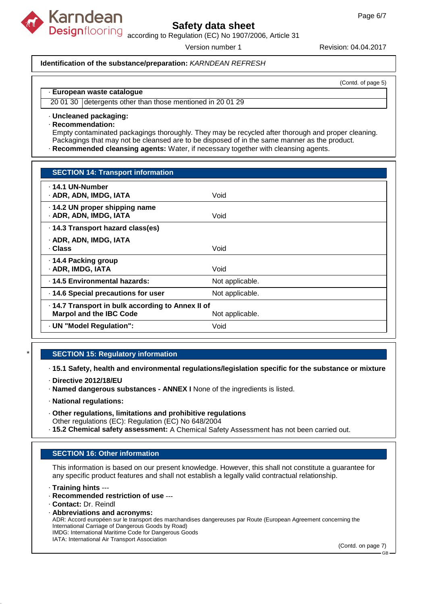

Designflooring according to Regulation (EC) No 1907/2006, Article 31

Version number 1 Revision: 04.04.2017

#### **Identification of the substance/preparation:** KARNDEAN REFRESH

(Contd. of page 5)

#### · **European waste catalogue**

20 01 30 detergents other than those mentioned in 20 01 29

#### · **Uncleaned packaging:**

· **Recommendation:**

Empty contaminated packagings thoroughly. They may be recycled after thorough and proper cleaning. Packagings that may not be cleansed are to be disposed of in the same manner as the product.

· **Recommended cleansing agents:** Water, if necessary together with cleansing agents.

| <b>SECTION 14: Transport information</b>                                                               |                 |  |
|--------------------------------------------------------------------------------------------------------|-----------------|--|
| . 14.1 UN-Number<br>· ADR, ADN, IMDG, IATA                                                             | Void            |  |
| · 14.2 UN proper shipping name<br>· ADR, ADN, IMDG, IATA                                               | Void            |  |
| · 14.3 Transport hazard class(es)                                                                      |                 |  |
| · ADR, ADN, IMDG, IATA<br>· Class                                                                      | Void            |  |
| ⋅ 14.4 Packing group<br>· ADR, IMDG, IATA                                                              | Void            |  |
| · 14.5 Environmental hazards:                                                                          | Not applicable. |  |
| · 14.6 Special precautions for user                                                                    | Not applicable. |  |
| . 14.7 Transport in bulk according to Annex II of<br><b>Marpol and the IBC Code</b><br>Not applicable. |                 |  |
| · UN "Model Regulation":                                                                               | Void            |  |

### **SECTION 15: Regulatory information**

· **15.1 Safety, health and environmental regulations/legislation specific for the substance or mixture**

- · **Directive 2012/18/EU**
- · **Named dangerous substances ANNEX I** None of the ingredients is listed.
- · **National regulations:**
- · **Other regulations, limitations and prohibitive regulations** Other regulations (EC): Regulation (EC) No 648/2004
- · **15.2 Chemical safety assessment:** A Chemical Safety Assessment has not been carried out.

### **SECTION 16: Other information**

This information is based on our present knowledge. However, this shall not constitute a guarantee for any specific product features and shall not establish a legally valid contractual relationship.

· **Training hints** ---

- · **Recommended restriction of use** ---
- · **Contact:** Dr. Reindl

(Contd. on page 7)

<sup>·</sup> **Abbreviations and acronyms:** ADR: Accord européen sur le transport des marchandises dangereuses par Route (European Agreement concerning the International Carriage of Dangerous Goods by Road) IMDG: International Maritime Code for Dangerous Goods IATA: International Air Transport Association

GB